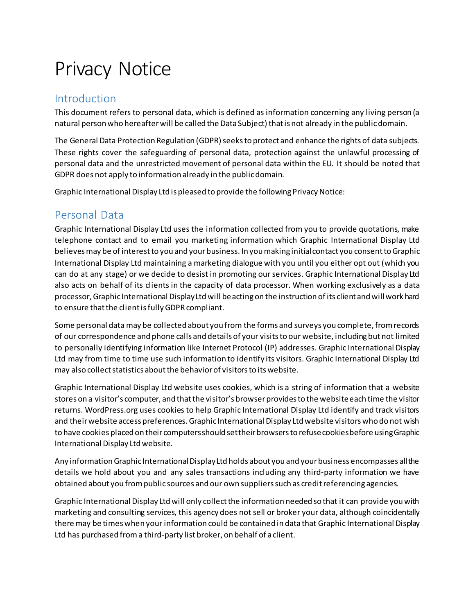# Privacy Notice

#### Introduction

This document refers to personal data, which is defined as information concerning any living person (a natural person who hereafter will be called the Data Subject) that is not already in the public domain.

The General Data Protection Regulation (GDPR) seeks to protect and enhance the rights of data subjects. These rights cover the safeguarding of personal data, protection against the unlawful processing of personal data and the unrestricted movement of personal data within the EU. It should be noted that GDPR does not apply to information already in the public domain.

Graphic International Display Ltd is pleased to provide the following Privacy Notice:

## Personal Data

Graphic International Display Ltd uses the information collected from you to provide quotations, make telephone contact and to email you marketing information which Graphic International Display Ltd believes may be of interest to you and your business. In you making initial contact you consent to Graphic International Display Ltd maintaining a marketing dialogue with you until you either opt out (which you can do at any stage) or we decide to desist in promoting our services. Graphic International Display Ltd also acts on behalf of its clients in the capacity of data processor. When working exclusively as a data processor, Graphic International Display Ltd will be acting on the instruction of its client and will work hard to ensure that the client is fully GDPR compliant.

Some personal data may be collected about you from the forms and surveys you complete, from records of our correspondence and phone calls and details of your visits to our website, including but not limited to personally identifying information like Internet Protocol (IP) addresses. Graphic International Display Ltd may from time to time use such information to identify its visitors. Graphic International Display Ltd may also collect statistics about the behavior of visitors to its website.

Graphic International Display Ltd website uses cookies, which is a string of information that a website stores on a visitor's computer, and that the visitor's browser provides to the website each time the visitor returns. WordPress.org uses cookies to help Graphic International Display Ltd identify and track visitors and their website access preferences. Graphic International Display Ltd website visitors who do not wish to have cookies placed on their computers should set their browsers to refuse cookies before using Graphic International Display Ltd website.

Any information Graphic International Display Ltd holds about you and your business encompasses all the details we hold about you and any sales transactions including any third-party information we have obtained about you from public sources and our own suppliers such as credit referencing agencies.

Graphic International Display Ltd will only collect the information needed so that it can provide you with marketing and consulting services, this agency does not sell or broker your data, although coincidentally there may be times when your information could be contained in data that Graphic International Display Ltd has purchased from a third-party list broker, on behalf of a client.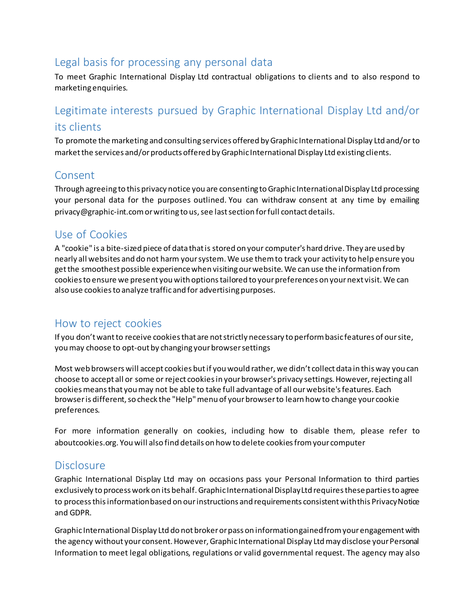#### Legal basis for processing any personal data

To meet Graphic International Display Ltd contractual obligations to clients and to also respond to marketing enquiries.

## Legitimate interests pursued by Graphic International Display Ltd and/or its clients

To promote the marketing and consulting services offered by Graphic International Display Ltd and/or to market the services and/or products offered by Graphic International Display Ltd existing clients.

#### Consent

Through agreeing to this privacy notice you are consenting to Graphic International Display Ltd processing your personal data for the purposes outlined. You can withdraw consent at any time by emailing privacy@graphic-int.comor writing to us, see last section for full contact details.

#### Use of Cookies

A "cookie" is a bite-sized piece of data that is stored on your computer's hard drive. They are used by nearly all websites and do not harm your system. We use them to track your activity to help ensure you get the smoothest possible experience when visiting our website. We can use the information from cookies to ensure we present you with options tailored to your preferences on your next visit. We can also use cookies to analyze traffic and for advertising purposes.

## How to reject cookies

If you don't want to receive cookies that are not strictly necessary to perform basic features of our site, you may choose to opt-out by changing your browser settings

Most web browsers will accept cookies but if you would rather, we didn't collect data in this way you can choose to accept all or some or reject cookies in your browser's privacy settings. However, rejecting all cookies means that you may not be able to take full advantage of all our website's features. Each browser is different, so check the "Help" menu of your browser to learn how to change your cookie preferences.

For more information generally on cookies, including how to disable them, please refer to aboutcookies.org. You will also find details on how to delete cookies from your computer

## Disclosure

Graphic International Display Ltd may on occasions pass your Personal Information to third parties exclusively to process work on its behalf. Graphic International Display Ltd requires these parties to agree to process this information based on our instructions and requirements consistent with this Privacy Notice and GDPR.

Graphic International Display Ltd do not broker or pass on information gained from your engagement with the agency without your consent. However, Graphic International Display Ltd may disclose your Personal Information to meet legal obligations, regulations or valid governmental request. The agency may also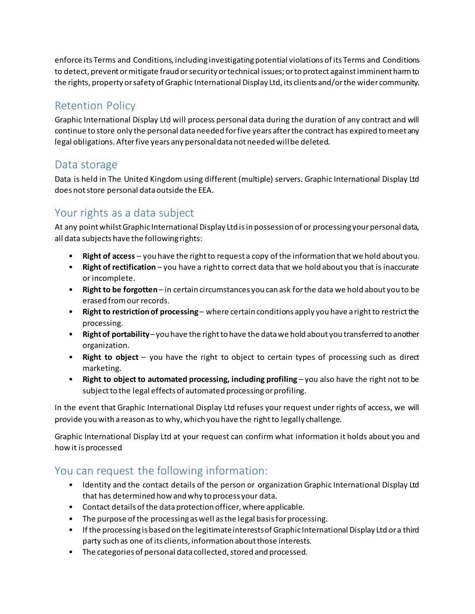enforce its Terms and Conditions, including investigating potential violations of its Terms and Conditions to detect, prevent or mitigate fraud or security or technical issues; or to protect against imminent harm to the rights, property or safety of Graphic International Display Ltd, its clients and/or the wider community.

# Retention Policy

Graphic International Display Ltd will process personal data during the duration of any contract and will continue to store only the personal data needed for five years after the contract has expired to meet any legal obligations. After five years any personal data not needed will be deleted.

## Data storage

Data is held in The United Kingdom using different (multiple) servers. Graphic International Display Ltd does not store personal data outside the EEA.

# Your rights as a data subject

At any point whilst Graphic International Display Ltd is in possession of or processing your personal data, all data subjects have the following rights:

- **Right of access** you have the right to request a copy of the information that we hold about you.
- **Right of rectification** you have a right to correct data that we hold about you that is inaccurate or incomplete.
- **Right to be forgotten** in certain circumstances you can ask for the data we hold about you to be erased from our records.
- **Right to restriction of processing** where certain conditions apply you have a right to restrict the processing.
- **Right of portability** –you have the right to have the data we hold about you transferred to another organization.
- **Right to object** you have the right to object to certain types of processing such as direct marketing.
- **Right to object to automated processing, including profiling** you also have the right not to be subject to the legal effects of automated processing or profiling.

In the event that Graphic International Display Ltd refuses your request under rights of access, we will provide you with a reason as to why, which you have the right to legally challenge.

Graphic International Display Ltd at your request can confirm what information it holds about you and how it is processed

## You can request the following information:

- Identity and the contact details of the person or organization Graphic International Display Ltd that has determined how and why to process your data.
- Contact details of the data protection officer, where applicable.
- The purpose of the processing as well as the legal basis for processing.
- If the processing is based on the legitimate interests of Graphic International Display Ltd or a third party such as one of its clients, information about those interests.
- The categories of personal data collected, stored and processed.